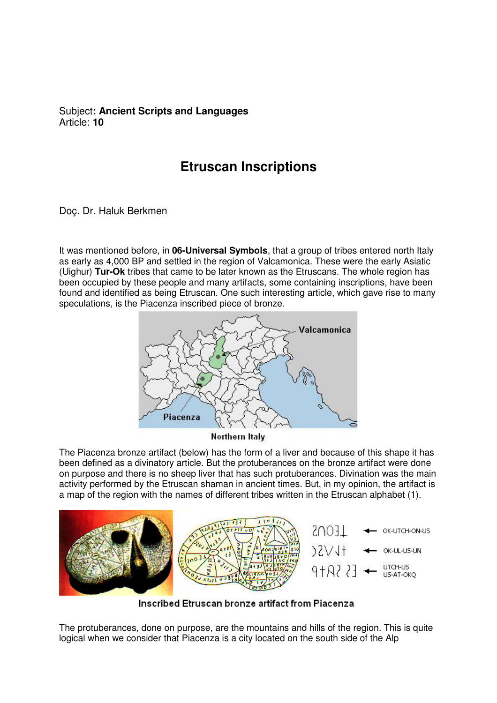## Subject**: Ancient Scripts and Languages**  Article: **10**

## **Etruscan Inscriptions**

Doç. Dr. Haluk Berkmen

It was mentioned before, in **06-Universal Symbols**, that a group of tribes entered north Italy as early as 4,000 BP and settled in the region of Valcamonica. These were the early Asiatic (Uighur) **Tur-Ok** tribes that came to be later known as the Etruscans. The whole region has been occupied by these people and many artifacts, some containing inscriptions, have been found and identified as being Etruscan. One such interesting article, which gave rise to many speculations, is the Piacenza inscribed piece of bronze.



Northern Italy

The Piacenza bronze artifact (below) has the form of a liver and because of this shape it has been defined as a divinatory article. But the protuberances on the bronze artifact were done on purpose and there is no sheep liver that has such protuberances. Divination was the main activity performed by the Etruscan shaman in ancient times. But, in my opinion, the artifact is a map of the region with the names of different tribes written in the Etruscan alphabet (1).



Inscribed Etruscan bronze artifact from Piacenza

The protuberances, done on purpose, are the mountains and hills of the region. This is quite logical when we consider that Piacenza is a city located on the south side of the Alp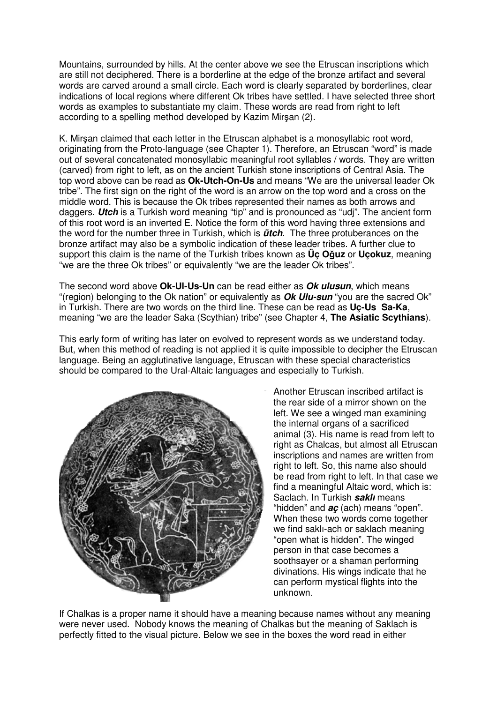Mountains, surrounded by hills. At the center above we see the Etruscan inscriptions which are still not deciphered. There is a borderline at the edge of the bronze artifact and several words are carved around a small circle. Each word is clearly separated by borderlines, clear indications of local regions where different Ok tribes have settled. I have selected three short words as examples to substantiate my claim. These words are read from right to left according to a spelling method developed by Kazim Mirşan (2).

K. Mirşan claimed that each letter in the Etruscan alphabet is a monosyllabic root word, originating from the Proto-language (see Chapter 1). Therefore, an Etruscan "word" is made out of several concatenated monosyllabic meaningful root syllables / words. They are written (carved) from right to left, as on the ancient Turkish stone inscriptions of Central Asia. The top word above can be read as **Ok-Utch-On-Us** and means "We are the universal leader Ok tribe". The first sign on the right of the word is an arrow on the top word and a cross on the middle word. This is because the Ok tribes represented their names as both arrows and daggers. **Utch** is a Turkish word meaning "tip" and is pronounced as "udj". The ancient form of this root word is an inverted E. Notice the form of this word having three extensions and the word for the number three in Turkish, which is **ütch**. The three protuberances on the bronze artifact may also be a symbolic indication of these leader tribes. A further clue to support this claim is the name of the Turkish tribes known as **Üç O**ğ**uz** or **Uçokuz**, meaning "we are the three Ok tribes" or equivalently "we are the leader Ok tribes".

The second word above **Ok-Ul-Us-Un** can be read either as **Ok ulusun**, which means "(region) belonging to the Ok nation" or equivalently as **Ok Ulu-sun** "you are the sacred Ok" in Turkish. There are two words on the third line. These can be read as **Uç-Us Sa-Ka**, meaning "we are the leader Saka (Scythian) tribe" (see Chapter 4, **The Asiatic Scythians**).

This early form of writing has later on evolved to represent words as we understand today. But, when this method of reading is not applied it is quite impossible to decipher the Etruscan language. Being an agglutinative language, Etruscan with these special characteristics should be compared to the Ural-Altaic languages and especially to Turkish.



Another Etruscan inscribed artifact is the rear side of a mirror shown on the left. We see a winged man examining the internal organs of a sacrificed animal (3). His name is read from left to right as Chalcas, but almost all Etruscan inscriptions and names are written from right to left. So, this name also should be read from right to left. In that case we find a meaningful Altaic word, which is: Saclach. In Turkish **saklı** means "hidden" and **aç** (ach) means "open". When these two words come together we find saklı-ach or saklach meaning "open what is hidden". The winged person in that case becomes a soothsayer or a shaman performing divinations. His wings indicate that he can perform mystical flights into the unknown.

If Chalkas is a proper name it should have a meaning because names without any meaning were never used. Nobody knows the meaning of Chalkas but the meaning of Saklach is perfectly fitted to the visual picture. Below we see in the boxes the word read in either